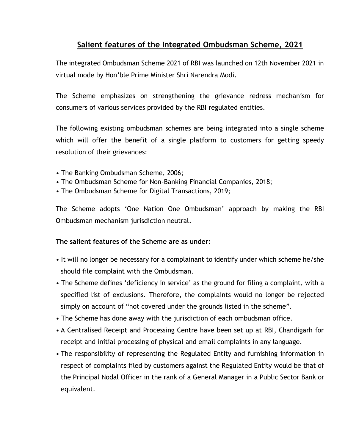## **Salient features of the Integrated Ombudsman Scheme, 2021**

The integrated Ombudsman Scheme 2021 of RBI was launched on 12th November 2021 in virtual mode by Hon'ble Prime Minister Shri Narendra Modi.

The Scheme emphasizes on strengthening the grievance redress mechanism for consumers of various services provided by the RBI regulated entities.

The following existing ombudsman schemes are being integrated into a single scheme which will offer the benefit of a single platform to customers for getting speedy resolution of their grievances:

- The Banking Ombudsman Scheme, 2006;
- The Ombudsman Scheme for Non-Banking Financial Companies, 2018;
- The Ombudsman Scheme for Digital Transactions, 2019;

The Scheme adopts 'One Nation One Ombudsman' approach by making the RBI Ombudsman mechanism jurisdiction neutral.

## **The salient features of the Scheme are as under:**

- It will no longer be necessary for a complainant to identify under which scheme he/she should file complaint with the Ombudsman.
- The Scheme defines 'deficiency in service' as the ground for filing a complaint, with a specified list of exclusions. Therefore, the complaints would no longer be rejected simply on account of "not covered under the grounds listed in the scheme".
- The Scheme has done away with the jurisdiction of each ombudsman office.
- A Centralised Receipt and Processing Centre have been set up at RBI, Chandigarh for receipt and initial processing of physical and email complaints in any language.
- The responsibility of representing the Regulated Entity and furnishing information in respect of complaints filed by customers against the Regulated Entity would be that of the Principal Nodal Officer in the rank of a General Manager in a Public Sector Bank or equivalent.